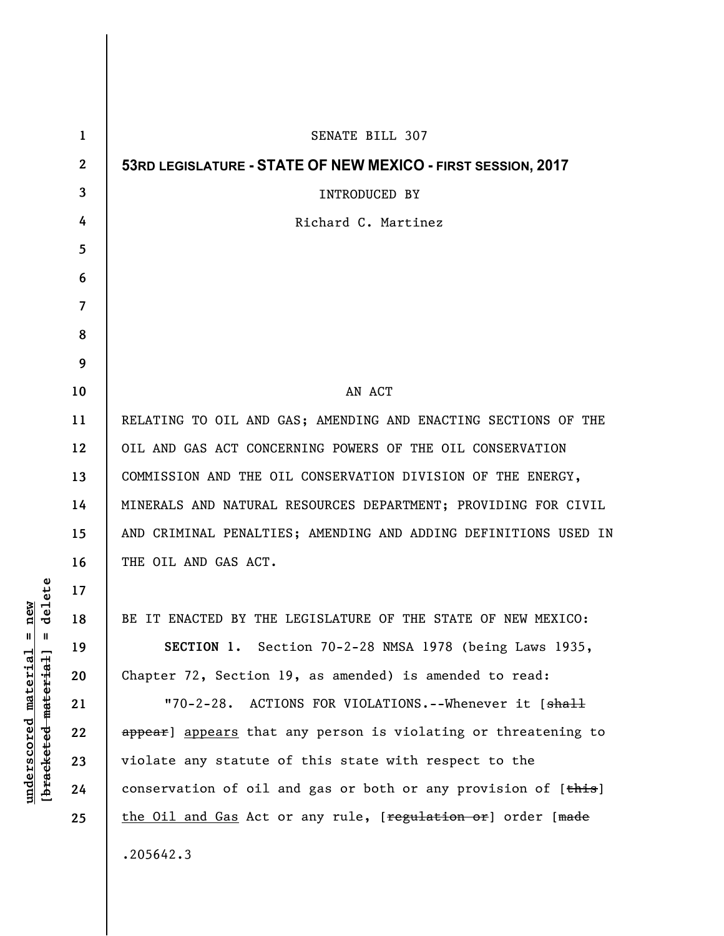| $\mathbf{1}$ | SENATE BILL 307                                                 |
|--------------|-----------------------------------------------------------------|
| $\mathbf{2}$ | 53RD LEGISLATURE - STATE OF NEW MEXICO - FIRST SESSION, 2017    |
| 3            | <b>INTRODUCED BY</b>                                            |
| 4            | Richard C. Martinez                                             |
| 5            |                                                                 |
| 6            |                                                                 |
| 7            |                                                                 |
| 8            |                                                                 |
| 9            |                                                                 |
| 10           | AN ACT                                                          |
| 11           | RELATING TO OIL AND GAS; AMENDING AND ENACTING SECTIONS OF THE  |
| 12           | OIL AND GAS ACT CONCERNING POWERS OF THE OIL CONSERVATION       |
| 13           | COMMISSION AND THE OIL CONSERVATION DIVISION OF THE ENERGY,     |
| 14           | MINERALS AND NATURAL RESOURCES DEPARTMENT; PROVIDING FOR CIVIL  |
| 15           | AND CRIMINAL PENALTIES; AMENDING AND ADDING DEFINITIONS USED IN |
| 16           | THE OIL AND GAS ACT.                                            |
| 17           |                                                                 |
| 18           | BE IT ENACTED BY THE LEGISLATURE OF THE STATE OF NEW MEXICO:    |
| 19           | SECTION 1. Section 70-2-28 NMSA 1978 (being Laws 1935,          |
| 20           | Chapter 72, Section 19, as amended) is amended to read:         |
| 21           | "70-2-28. ACTIONS FOR VIOLATIONS.--Whenever it [shall           |
| 22           | appear] appears that any person is violating or threatening to  |
| 23           | violate any statute of this state with respect to the           |
| 24           | conservation of oil and gas or both or any provision of [this]  |
| 25           | the Oil and Gas Act or any rule, [regulation or] order [made    |
|              | .205642.3                                                       |

 $[**bracket** etc.**eted** meter $at$ ]. = delete$ **[bracketed material] = delete**  $underscored material = new$ **underscored material = new**

 $\mathsf I$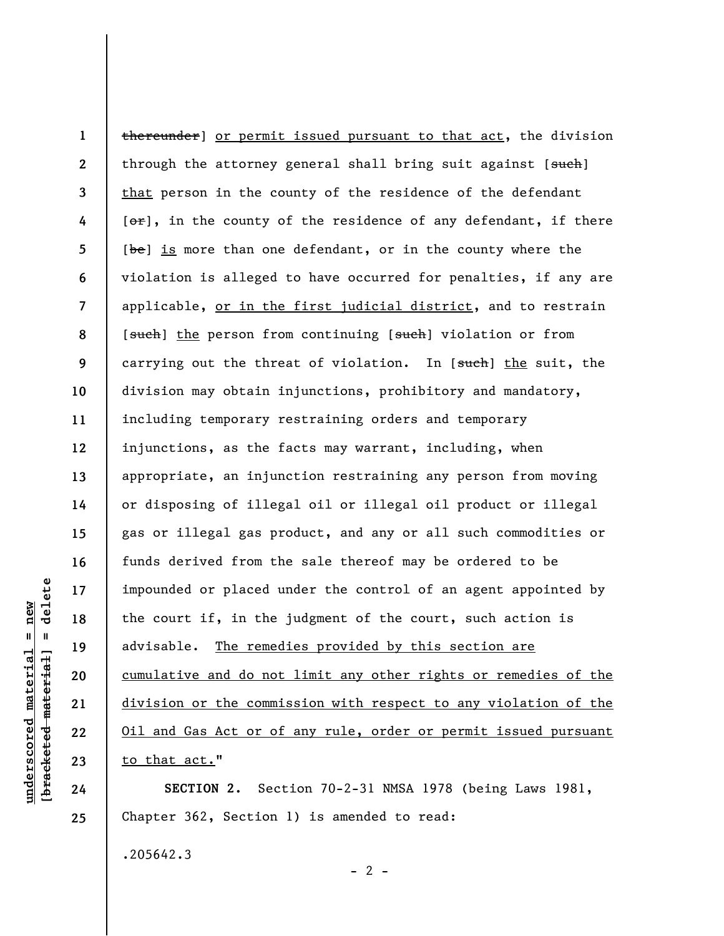**1 2 3 4 5 6 7 8 9 10 11 12 13 14 15 16 17 18 19 20 21 22 23**  thereunder] or permit issued pursuant to that act, the division through the attorney general shall bring suit against  $[s<sub>uteh</sub>]$ that person in the county of the residence of the defendant  $[**or**]$ , in the county of the residence of any defendant, if there [be] is more than one defendant, or in the county where the violation is alleged to have occurred for penalties, if any are applicable, or in the first judicial district, and to restrain [such] the person from continuing [such] violation or from carrying out the threat of violation. In [such] the suit, the division may obtain injunctions, prohibitory and mandatory, including temporary restraining orders and temporary injunctions, as the facts may warrant, including, when appropriate, an injunction restraining any person from moving or disposing of illegal oil or illegal oil product or illegal gas or illegal gas product, and any or all such commodities or funds derived from the sale thereof may be ordered to be impounded or placed under the control of an agent appointed by the court if, in the judgment of the court, such action is advisable. The remedies provided by this section are cumulative and do not limit any other rights or remedies of the division or the commission with respect to any violation of the Oil and Gas Act or of any rule, order or permit issued pursuant to that act."

**SECTION 2.** Section 70-2-31 NMSA 1978 (being Laws 1981, Chapter 362, Section 1) is amended to read:

 $- 2 -$ 

.205642.3

delete **[bracketed material] = delete**  $anderscored material = new$ **underscored material = new**  $\mathbf{I}$ bracketed material

**24** 

**25**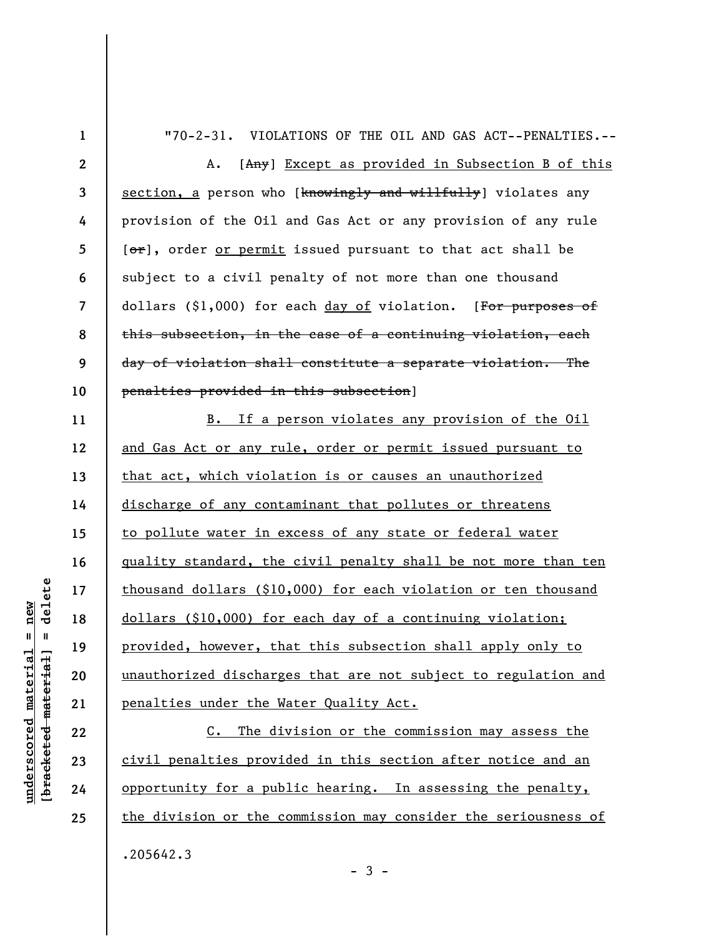| $\mathbf 1$     | "70-2-31. VIOLATIONS OF THE OIL AND GAS ACT--PENALTIES.--      |
|-----------------|----------------------------------------------------------------|
| $\mathbf{2}$    | [Any] Except as provided in Subsection B of this<br>Α.         |
| $\mathbf{3}$    | section, a person who [knowingly and willfully] violates any   |
| 4               | provision of the Oil and Gas Act or any provision of any rule  |
| $5\phantom{.0}$ | [or], order or permit issued pursuant to that act shall be     |
| 6               | subject to a civil penalty of not more than one thousand       |
| $\overline{7}$  | dollars (\$1,000) for each day of violation. [For purposes of  |
| 8               | this subsection, in the case of a continuing violation, each   |
| 9               | day of violation shall constitute a separate violation. The    |
| 10              | penalties provided in this subsection]                         |
| 11              | B. If a person violates any provision of the Oil               |
| 12              | and Gas Act or any rule, order or permit issued pursuant to    |
| 13              | that act, which violation is or causes an unauthorized         |
| 14              | discharge of any contaminant that pollutes or threatens        |
| 15              | to pollute water in excess of any state or federal water       |
| 16              | quality standard, the civil penalty shall be not more than ten |
| 17              | thousand dollars (\$10,000) for each violation or ten thousand |
| 18              | dollars (\$10,000) for each day of a continuing violation;     |
| 19              | provided, however, that this subsection shall apply only to    |
| 20              | unauthorized discharges that are not subject to regulation and |
| 21              | penalties under the Water Quality Act.                         |
|                 |                                                                |

C. The division or the commission may assess the civil penalties provided in this section after notice and an opportunity for a public hearing. In assessing the penalty, the division or the commission may consider the seriousness of .205642.3

 $[breaked$  material = delete **[bracketed material] = delete**  $underscored material = new$ **underscored material = new**

**22** 

**23** 

**24** 

**25** 

- 3 -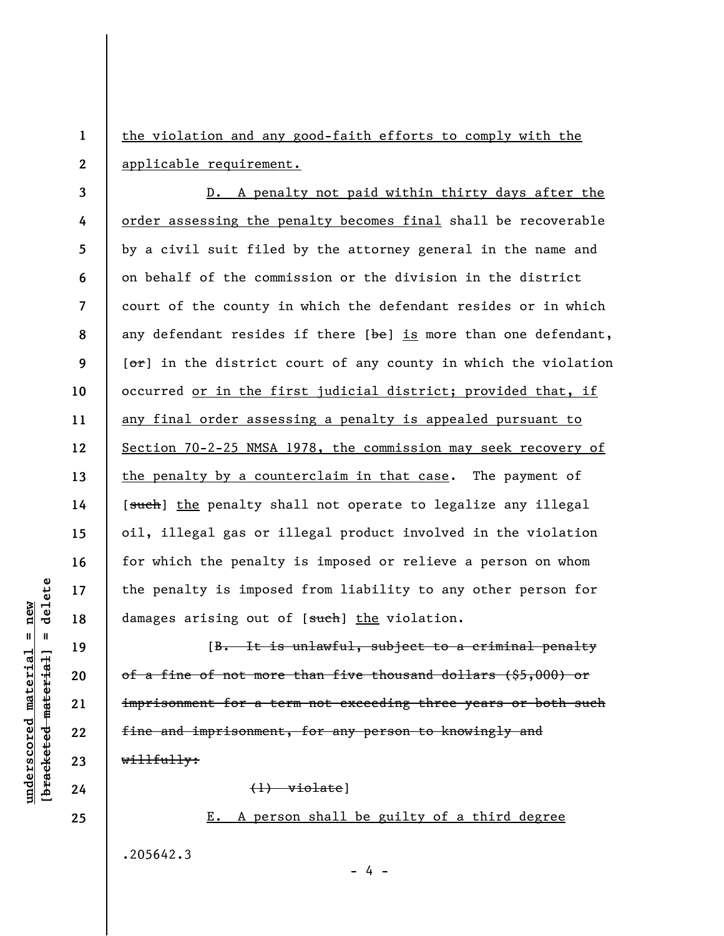**1 2**  the violation and any good-faith efforts to comply with the applicable requirement.

**3 4 5 6 7 8 9 10 11 12 13 14 15 16 17 18**  D. A penalty not paid within thirty days after the order assessing the penalty becomes final shall be recoverable by a civil suit filed by the attorney general in the name and on behalf of the commission or the division in the district court of the county in which the defendant resides or in which any defendant resides if there  $[\frac{b}{e}]$  is more than one defendant,  $[**or**]$  in the district court of any county in which the violation occurred or in the first judicial district; provided that, if any final order assessing a penalty is appealed pursuant to Section 70-2-25 NMSA 1978, the commission may seek recovery of the penalty by a counterclaim in that case. The payment of [such] the penalty shall not operate to legalize any illegal oil, illegal gas or illegal product involved in the violation for which the penalty is imposed or relieve a person on whom the penalty is imposed from liability to any other person for damages arising out of [such] the violation.

[B. It is unlawful, subject to a criminal penalty of a fine of not more than five thousand dollars (\$5,000) or imprisonment for a term not exceeding three years or both such fine and imprisonment, for any person to knowingly and willfully:

(1) violate]

## E. A person shall be guilty of a third degree

- 4 -

.205642.3

delete **[bracketed material] = delete**  $anderscored material = new$ **underscored material = new**  $\frac{1}{2}$ 

**19** 

**24 25**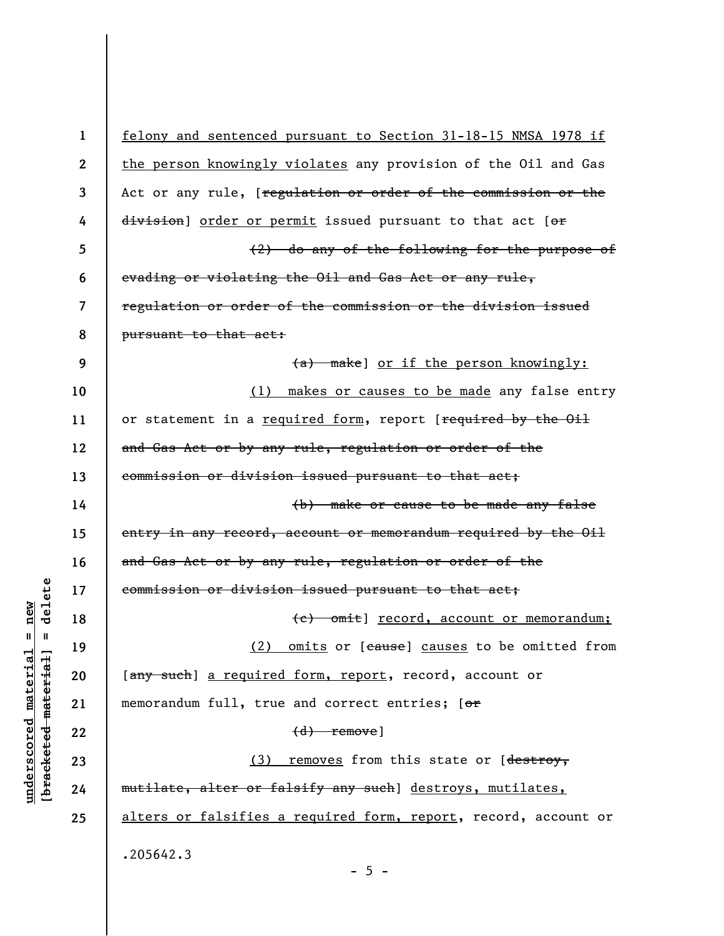**1 2 3 4 5 6 7 8 9 10 11 12 13 14 15 16 17 18 19 20 21 22 23 24 25**  felony and sentenced pursuant to Section 31-18-15 NMSA 1978 if the person knowingly violates any provision of the Oil and Gas Act or any rule, [regulation or order of the commission or the division] order or permit issued pursuant to that act [or (2) do any of the following for the purpose of evading or violating the Oil and Gas Act or any rule, regulation or order of the commission or the division issued pursuant to that act: (a) make] or if the person knowingly: (1) makes or causes to be made any false entry or statement in a required form, report [required by the Oil and Gas Act or by any rule, regulation or order of the commission or division issued pursuant to that act; (b) make or cause to be made any false entry in any record, account or memorandum required by the Oil and Gas Act or by any rule, regulation or order of the commission or division issued pursuant to that act; (c) omit] record, account or memorandum; (2) omits or [cause] causes to be omitted from [any such] a required form, report, record, account or memorandum full, true and correct entries; [or (d) remove] (3) removes from this state or [destroy, mutilate, alter or falsify any such] destroys, mutilates, alters or falsifies a required form, report, record, account or .205642.3

 $\frac{1}{2}$  intereted material = delete **[bracketed material] = delete**  $anderscored material = new$ **underscored material = new**

 $- 5 -$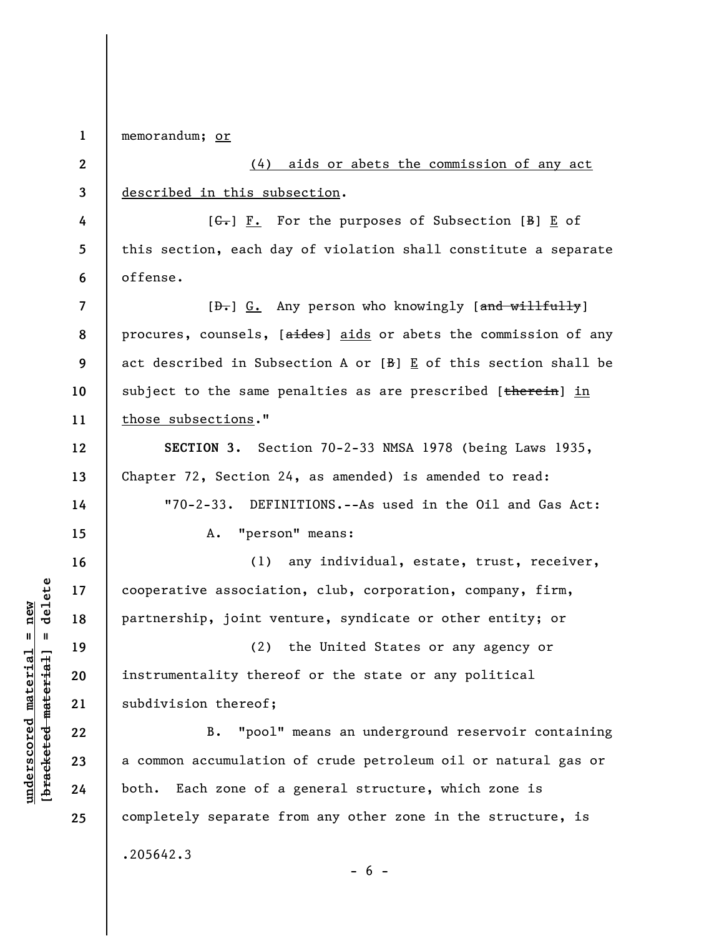**1**  memorandum; or

.205642.3

**2 3 4 5 6 7 8 9 10 11 12 13 14 15 16 17 18 19 20 21 22 23 24 25**  (4) aids or abets the commission of any act described in this subsection.  $[G<sub>1</sub>]$   $\underline{F.}$  For the purposes of Subsection  $[B]$   $\underline{E}$  of this section, each day of violation shall constitute a separate offense. [ $\theta$ .] G. Any person who knowingly [and willfully] procures, counsels, [aides] aids or abets the commission of any act described in Subsection A or  $[B]$   $E$  of this section shall be subject to the same penalties as are prescribed [therein] in those subsections." **SECTION 3.** Section 70-2-33 NMSA 1978 (being Laws 1935, Chapter 72, Section 24, as amended) is amended to read: "70-2-33. DEFINITIONS.--As used in the Oil and Gas Act: A. "person" means: (1) any individual, estate, trust, receiver, cooperative association, club, corporation, company, firm, partnership, joint venture, syndicate or other entity; or (2) the United States or any agency or instrumentality thereof or the state or any political subdivision thereof; B. "pool" means an underground reservoir containing a common accumulation of crude petroleum oil or natural gas or both. Each zone of a general structure, which zone is completely separate from any other zone in the structure, is

 $\frac{1}{2}$  of  $\frac{1}{2}$  and  $\frac{1}{2}$  and  $\frac{1}{2}$  and  $\frac{1}{2}$  and  $\frac{1}{2}$  and  $\frac{1}{2}$  and  $\frac{1}{2}$  and  $\frac{1}{2}$  and  $\frac{1}{2}$  and  $\frac{1}{2}$  and  $\frac{1}{2}$  and  $\frac{1}{2}$  and  $\frac{1}{2}$  and  $\frac{1}{2}$  and  $\frac{1}{2}$  an **[bracketed material] = delete**  $underscored material = new$ **underscored material = new**

 $- 6 -$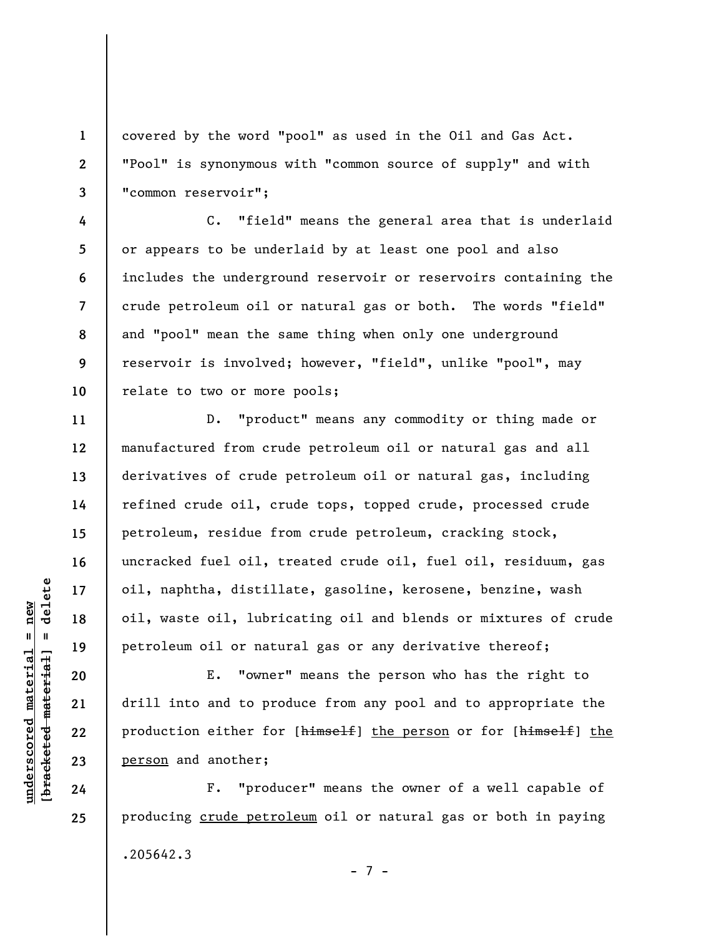covered by the word "pool" as used in the Oil and Gas Act. "Pool" is synonymous with "common source of supply" and with "common reservoir";

C. "field" means the general area that is underlaid or appears to be underlaid by at least one pool and also includes the underground reservoir or reservoirs containing the crude petroleum oil or natural gas or both. The words "field" and "pool" mean the same thing when only one underground reservoir is involved; however, "field", unlike "pool", may relate to two or more pools;

D. "product" means any commodity or thing made or manufactured from crude petroleum oil or natural gas and all derivatives of crude petroleum oil or natural gas, including refined crude oil, crude tops, topped crude, processed crude petroleum, residue from crude petroleum, cracking stock, uncracked fuel oil, treated crude oil, fuel oil, residuum, gas oil, naphtha, distillate, gasoline, kerosene, benzine, wash oil, waste oil, lubricating oil and blends or mixtures of crude petroleum oil or natural gas or any derivative thereof;

E. "owner" means the person who has the right to drill into and to produce from any pool and to appropriate the production either for [himself] the person or for [himself] the person and another;

F. "producer" means the owner of a well capable of producing crude petroleum oil or natural gas or both in paying .205642.3 - 7 -

 $\frac{1}{2}$  intereted material = delete **[bracketed material] = delete**  $underscored material = new$ **underscored material = new**

**1** 

**2** 

**3** 

**4** 

**5** 

**6** 

**7** 

**8** 

**9** 

**10** 

**11** 

**12** 

**13** 

**14** 

**15** 

**16** 

**17** 

**18** 

**19** 

**20** 

**21** 

**22** 

**23** 

**24** 

**25**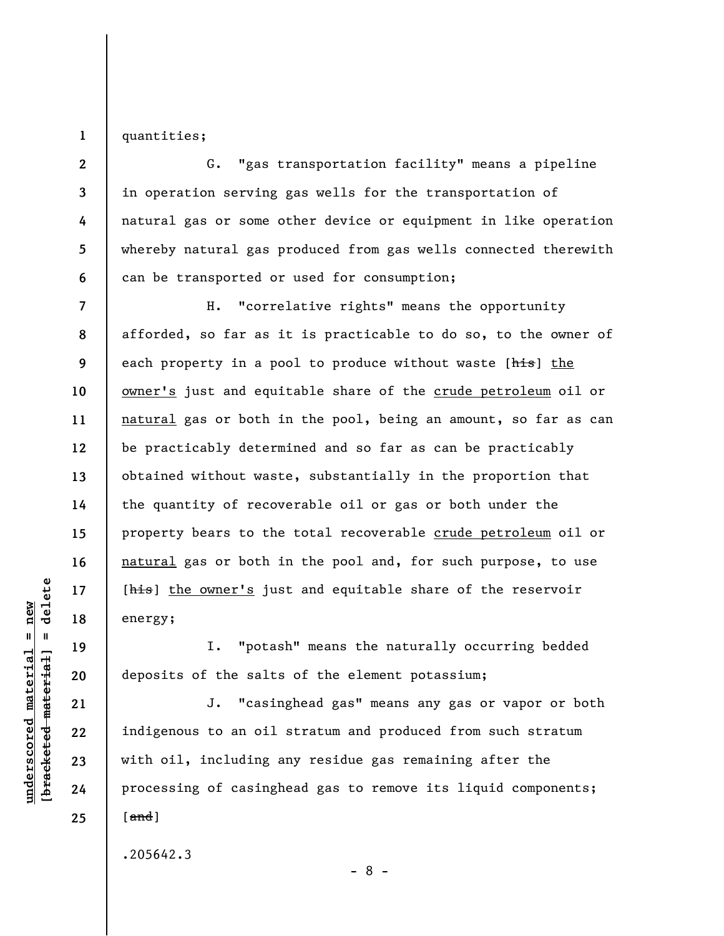**1**  quantities;

**2 3 4 5 6**  G. "gas transportation facility" means a pipeline in operation serving gas wells for the transportation of natural gas or some other device or equipment in like operation whereby natural gas produced from gas wells connected therewith can be transported or used for consumption;

**7 8 9 10 11 12 13 14 15 16 17 18**  H. "correlative rights" means the opportunity afforded, so far as it is practicable to do so, to the owner of each property in a pool to produce without waste [his] the owner's just and equitable share of the crude petroleum oil or natural gas or both in the pool, being an amount, so far as can be practicably determined and so far as can be practicably obtained without waste, substantially in the proportion that the quantity of recoverable oil or gas or both under the property bears to the total recoverable crude petroleum oil or natural gas or both in the pool and, for such purpose, to use [his] the owner's just and equitable share of the reservoir energy;

I. "potash" means the naturally occurring bedded deposits of the salts of the element potassium;

J. "casinghead gas" means any gas or vapor or both indigenous to an oil stratum and produced from such stratum with oil, including any residue gas remaining after the processing of casinghead gas to remove its liquid components;  $\lceil$  and  $\rceil$ 

.205642.3

 $\frac{1}{2}$  intereted material = delete **[bracketed material] = delete**  $underscored material = new$ **underscored material = new**

**19** 

**20** 

**21** 

**22** 

**23** 

**24** 

**25** 

- 8 -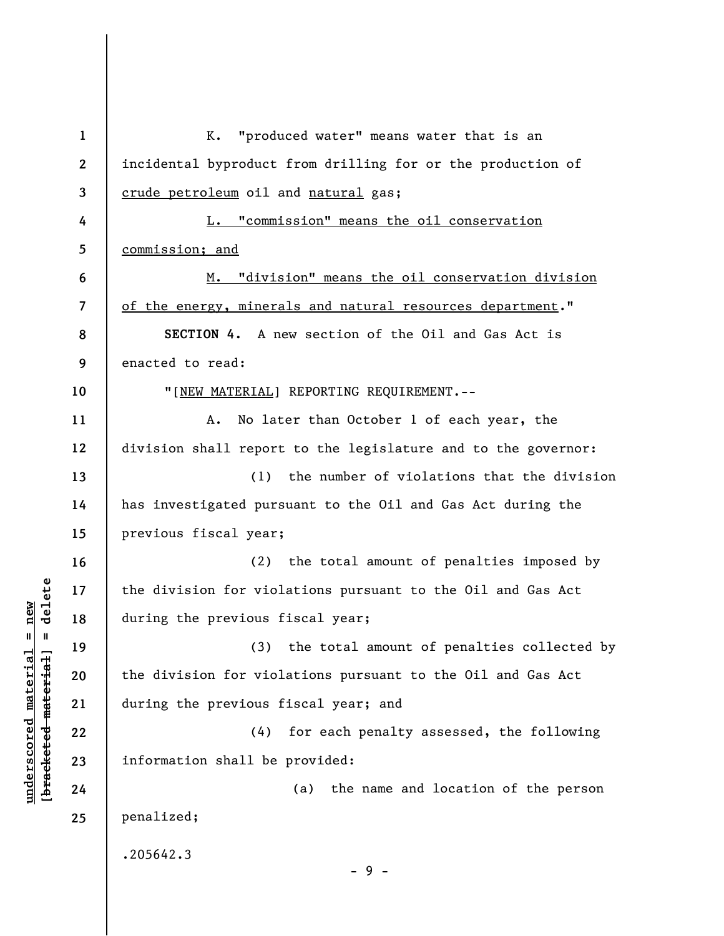**1 2 3 4 5 6 7 8 9 10 11 12 13 14 15 16 17 18 19 20 21 22 23 24 25**  K. "produced water" means water that is an incidental byproduct from drilling for or the production of crude petroleum oil and natural gas; L. "commission" means the oil conservation commission; and M. "division" means the oil conservation division of the energy, minerals and natural resources department." **SECTION 4.** A new section of the Oil and Gas Act is enacted to read: "[NEW MATERIAL] REPORTING REQUIREMENT.-- A. No later than October 1 of each year, the division shall report to the legislature and to the governor: (1) the number of violations that the division has investigated pursuant to the Oil and Gas Act during the previous fiscal year; (2) the total amount of penalties imposed by the division for violations pursuant to the Oil and Gas Act during the previous fiscal year; (3) the total amount of penalties collected by the division for violations pursuant to the Oil and Gas Act during the previous fiscal year; and (4) for each penalty assessed, the following information shall be provided: (a) the name and location of the person penalized; .205642.3 - 9 -

**underscored material = new [bracketed material] = delete**

 $\frac{1}{2}$  intereted material = delete  $underscored material = new$